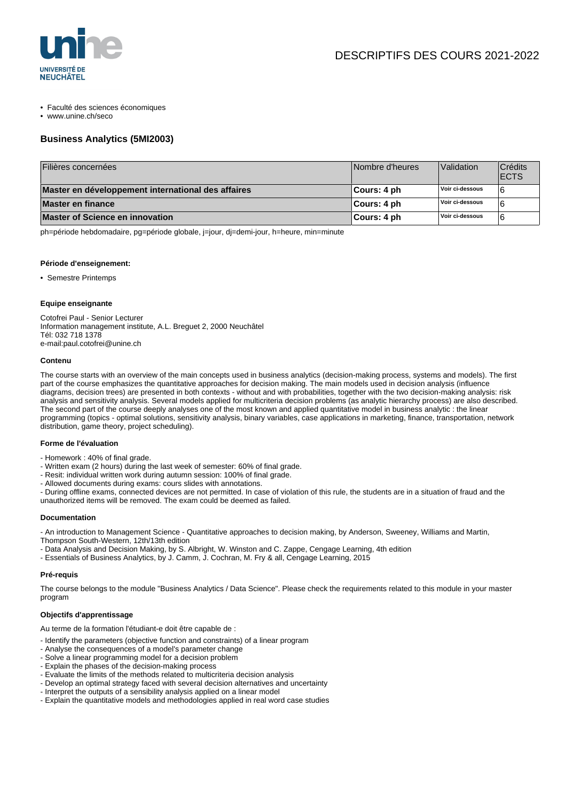

- Faculté des sciences économiques
- www.unine.ch/seco

# **Business Analytics (5MI2003)**

| Filières concernées                                | Nombre d'heures | Validation      | Crédits<br><b>ECTS</b> |
|----------------------------------------------------|-----------------|-----------------|------------------------|
| Master en développement international des affaires | ∣Cours: 4 ph    | Voir ci-dessous | 6                      |
| Master en finance                                  | ∣Cours: 4 ph    | Voir ci-dessous |                        |
| Master of Science en innovation                    | ∣Cours: 4 ph    | Voir ci-dessous |                        |

ph=période hebdomadaire, pg=période globale, j=jour, dj=demi-jour, h=heure, min=minute

#### **Période d'enseignement:**

• Semestre Printemps

#### **Equipe enseignante**

Cotofrei Paul - Senior Lecturer Information management institute, A.L. Breguet 2, 2000 Neuchâtel Tél: 032 718 1378 e-mail:paul.cotofrei@unine.ch

#### **Contenu**

The course starts with an overview of the main concepts used in business analytics (decision-making process, systems and models). The first part of the course emphasizes the quantitative approaches for decision making. The main models used in decision analysis (influence diagrams, decision trees) are presented in both contexts - without and with probabilities, together with the two decision-making analysis: risk analysis and sensitivity analysis. Several models applied for multicriteria decision problems (as analytic hierarchy process) are also described. The second part of the course deeply analyses one of the most known and applied quantitative model in business analytic : the linear programming (topics - optimal solutions, sensitivity analysis, binary variables, case applications in marketing, finance, transportation, network distribution, game theory, project scheduling).

## **Forme de l'évaluation**

- Homework : 40% of final grade.
- Written exam (2 hours) during the last week of semester: 60% of final grade.
- Resit: individual written work during autumn session: 100% of final grade.
- Allowed documents during exams: cours slides with annotations.

- During offline exams, connected devices are not permitted. In case of violation of this rule, the students are in a situation of fraud and the unauthorized items will be removed. The exam could be deemed as failed.

#### **Documentation**

- An introduction to Management Science - Quantitative approaches to decision making, by Anderson, Sweeney, Williams and Martin,

- Thompson South-Western, 12th/13th edition
- Data Analysis and Decision Making, by S. Albright, W. Winston and C. Zappe, Cengage Learning, 4th edition
- Essentials of Business Analytics, by J. Camm, J. Cochran, M. Fry & all, Cengage Learning, 2015

#### **Pré-requis**

The course belongs to the module "Business Analytics / Data Science". Please check the requirements related to this module in your master program

### **Objectifs d'apprentissage**

Au terme de la formation l'étudiant-e doit être capable de :

- Identify the parameters (objective function and constraints) of a linear program
- Analyse the consequences of a model's parameter change
- Solve a linear programming model for a decision problem
- Explain the phases of the decision-making process
- Evaluate the limits of the methods related to multicriteria decision analysis
- Develop an optimal strategy faced with several decision alternatives and uncertainty
- Interpret the outputs of a sensibility analysis applied on a linear model
- Explain the quantitative models and methodologies applied in real word case studies